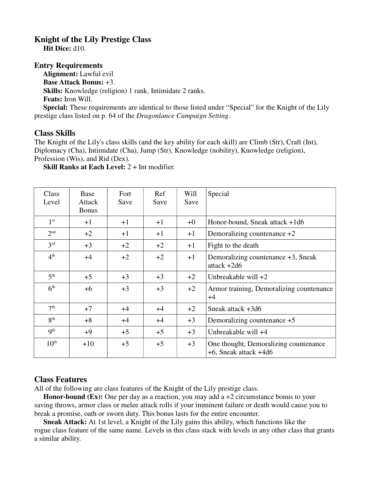## **Knight of the Lily Prestige Class**

 **Hit Dice:** d10.

## **Entry Requirements**

 **Alignment:** Lawful evil **Base Attack Bonus:** +3. **Skills:** Knowledge (religion) 1 rank, Intimidate 2 ranks. **Feats:** Iron Will. **Special:** These requirements are identical to those listed under "Special" for the Knight of the Lily

prestige class listed on p. 64 of the *Dragonlance Campaign Setting*.

## **Class Skills**

The Knight of the Lily's class skills (and the key ability for each skill) are Climb (Str), Craft (Int), Diplomacy (Cha), Intimidate (Cha), Jump (Str), Knowledge (nobility), Knowledge (religion), Profession (Wis), and Rid (Dex).

**Skill Ranks at Each Level:** 2 + Int modifier.

| Class<br>Level   | Base<br>Attack<br><b>Bonus</b> | Fort<br>Save | Ref<br>Save | Will<br>Save | Special                                                             |
|------------------|--------------------------------|--------------|-------------|--------------|---------------------------------------------------------------------|
|                  |                                |              |             |              |                                                                     |
| 1 <sup>st</sup>  | $+1$                           | $+1$         | $+1$        | $+0$         | Honor-bound, Sneak attack +1d6                                      |
| 2 <sup>nd</sup>  | $+2$                           | $+1$         | $+1$        | $+1$         | Demoralizing countenance $+2$                                       |
| 3 <sup>rd</sup>  | $+3$                           | $+2$         | $+2$        | $+1$         | Fight to the death                                                  |
| 4 <sup>th</sup>  | $+4$                           | $+2$         | $+2$        | $+1$         | Demoralizing countenance +3, Sneak<br>$attack + 2d6$                |
| 5 <sup>th</sup>  | $+5$                           | $+3$         | $+3$        | $+2$         | Unbreakable will $+2$                                               |
| 6 <sup>th</sup>  | $+6$                           | $+3$         | $+3$        | $+2$         | Armor training, Demoralizing countenance<br>$+4$                    |
| 7 <sup>th</sup>  | $+7$                           | $+4$         | $+4$        | $+2$         | Sneak attack +3d6                                                   |
| 8 <sup>th</sup>  | $+8$                           | $+4$         | $+4$        | $+3$         | Demoralizing countenance +5                                         |
| 9 <sup>th</sup>  | $+9$                           | $+5$         | $+5$        | $+3$         | Unbreakable will +4                                                 |
| $10^{\text{th}}$ | $+10$                          | $+5$         | $+5$        | $+3$         | One thought, Demoralizing countenance<br>$+6$ , Sneak attack $+4d6$ |

## **Class Features**

All of the following are class features of the Knight of the Lily prestige class.

**Honor-bound (Ex):** One per day as a reaction, you may add a +2 circumstance bonus to your saving throws, armor class or melee attack rolls if your imminent failure or death would cause you to break a promise, oath or sworn duty. This bonus lasts for the entire encounter.

 **Sneak Attack:** At 1st level, a Knight of the Lily gains this ability, which functions like the rogue class feature of the same name. Levels in this class stack with levels in any other class that grants a similar ability.